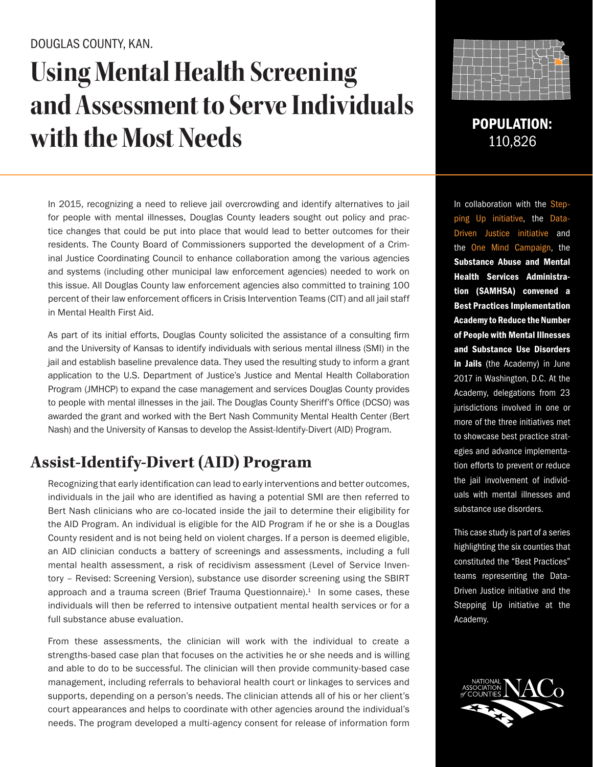### DOUGLAS COUNTY, KAN.

# **Using Mental Health Screening and Assessment to Serve Individuals with the Most Needs** POPULATION:

In 2015, recognizing a need to relieve jail overcrowding and identify alternatives to jail for people with mental illnesses, Douglas County leaders sought out policy and practice changes that could be put into place that would lead to better outcomes for their residents. The County Board of Commissioners supported the development of a Criminal Justice Coordinating Council to enhance collaboration among the various agencies and systems (including other municipal law enforcement agencies) needed to work on this issue. All Douglas County law enforcement agencies also committed to training 100 percent of their law enforcement officers in Crisis Intervention Teams (CIT) and all jail staff in Mental Health First Aid.

As part of its initial efforts, Douglas County solicited the assistance of a consulting firm and the University of Kansas to identify individuals with serious mental illness (SMI) in the jail and establish baseline prevalence data. They used the resulting study to inform a grant application to the U.S. Department of Justice's Justice and Mental Health Collaboration Program (JMHCP) to expand the case management and services Douglas County provides to people with mental illnesses in the jail. The Douglas County Sheriff's Office (DCSO) was awarded the grant and worked with the Bert Nash Community Mental Health Center (Bert Nash) and the University of Kansas to develop the Assist-Identify-Divert (AID) Program.

## **Assist-Identify-Divert (AID) Program**

Recognizing that early identification can lead to early interventions and better outcomes, individuals in the jail who are identified as having a potential SMI are then referred to Bert Nash clinicians who are co-located inside the jail to determine their eligibility for the AID Program. An individual is eligible for the AID Program if he or she is a Douglas County resident and is not being held on violent charges. If a person is deemed eligible, an AID clinician conducts a battery of screenings and assessments, including a full mental health assessment, a risk of recidivism assessment (Level of Service Inventory – Revised: Screening Version), substance use disorder screening using the SBIRT approach and a trauma screen (Brief Trauma Questionnaire). $1$  In some cases, these individuals will then be referred to intensive outpatient mental health services or for a full substance abuse evaluation.

From these assessments, the clinician will work with the individual to create a strengths-based case plan that focuses on the activities he or she needs and is willing and able to do to be successful. The clinician will then provide community-based case management, including referrals to behavioral health court or linkages to services and supports, depending on a person's needs. The clinician attends all of his or her client's court appearances and helps to coordinate with other agencies around the individual's needs. The program developed a multi-agency consent for release of information form



110,826

In collaboration with the Stepping Up initiative, the Data-Driven Justice initiative and the One Mind Campaign, the Substance Abuse and Mental Health Services Administration (SAMHSA) convened a Best Practices Implementation Academy to Reduce the Number of People with Mental Illnesses and Substance Use Disorders in Jails (the Academy) in June 2017 in Washington, D.C. At the Academy, delegations from 23 jurisdictions involved in one or more of the three initiatives met to showcase best practice strategies and advance implementation efforts to prevent or reduce the jail involvement of individuals with mental illnesses and substance use disorders.

This case study is part of a series highlighting the six counties that constituted the "Best Practices" teams representing the Data-Driven Justice initiative and the Stepping Up initiative at the Academy.